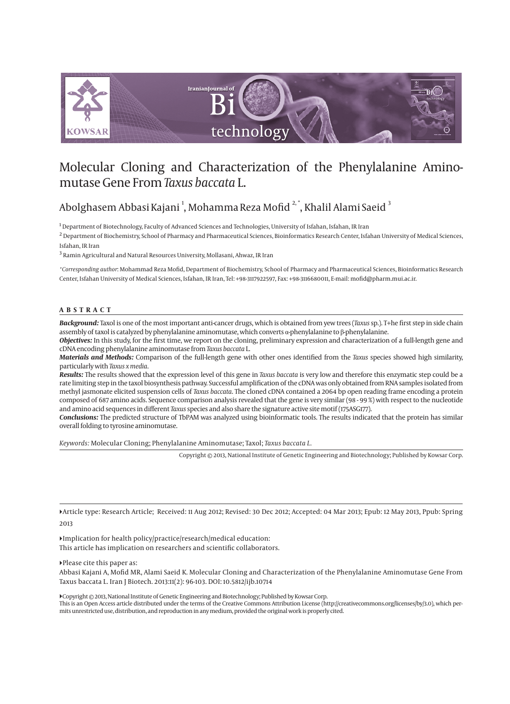

# Molecular Cloning and Characterization of the Phenylalanine Aminomutase Gene From *Taxus baccata* L.

# Abolghasem Abbasi Kajani <sup>1</sup>, Mohamma Reza Mofid <sup>2,</sup> \*, Khalil Alami Saeid <sup>3</sup>

 $^{\rm I}$  Department of Biotechnology, Faculty of Advanced Sciences and Technologies, University of Isfahan, Isfahan, IR Iran

 $^2$  Department of Biochemistry, School of Pharmacy and Pharmaceutical Sciences, Bioinformatics Research Center, Isfahan University of Medical Sciences, Isfahan, IR Iran

 $^3$  Ramin Agricultural and Natural Resources University, Mollasani, Ahwaz, IR Iran

*\*Corresponding author*: Mohammad Reza Mofid, Department of Biochemistry, School of Pharmacy and Pharmaceutical Sciences, Bioinformatics Research Center, Isfahan University of Medical Sciences, Isfahan, IR Iran, Tel: +98-3117922597, Fax: +98-3116680011, E-mail: mofid@pharm.mui.ac.ir.

#### **ABSTRACT**

*Background:* Taxol is one of the most important anti-cancer drugs, which is obtained from yew trees (*Taxus* sp.). T+he first step in side chain assembly of taxol is catalyzed by phenylalanine aminomutase, which converts α-phenylalanine to β-phenylalanine.

*Objectives:* In this study, for the first time, we report on the cloning, preliminary expression and characterization of a full-length gene and cDNA encoding phenylalanine aminomutase from *Taxus baccata* L.

*Materials and Methods:* Comparison of the full-length gene with other ones identified from the *Taxus* species showed high similarity, particularly with *Taxus x media*.

*Results:* The results showed that the expression level of this gene in *Taxus baccata* is very low and therefore this enzymatic step could be a rate limiting step in the taxol biosynthesis pathway. Successful amplification of the cDNA was only obtained from RNA samples isolated from methyl jasmonate elicited suspension cells of *Taxus baccata*. The cloned cDNA contained a 2064 bp open reading frame encoding a protein composed of 687 amino acids. Sequence comparison analysis revealed that the gene is very similar (98 - 99 %) with respect to the nucleotide and amino acid sequences in different *Taxus* species and also share the signature active site motif (175ASG177).

*Conclusions:* The predicted structure of TbPAM was analyzed using bioinformatic tools. The results indicated that the protein has similar overall folding to tyrosine aminomutase.

*Keywords:* Molecular Cloning; Phenylalanine Aminomutase; Taxol; *Taxus baccata L.*

Copyright © 2013, National Institute of Genetic Engineering and Biotechnology; Published by Kowsar Corp.

Article type: Research Article; Received: 11 Aug 2012; Revised: 30 Dec 2012; Accepted: 04 Mar 2013; Epub: 12 May 2013, Ppub: Spring 2013

Implication for health policy/practice/research/medical education: This article has implication on researchers and scientific collaborators.

Please cite this paper as:

Abbasi Kajani A, Mofid MR, Alami Saeid K. Molecular Cloning and Characterization of the Phenylalanine Aminomutase Gene From Taxus baccata L. Iran J Biotech. 2013:11(2): 96-103. DOI: 10.5812/ijb.10714

Copyright © 2013, National Institute of Genetic Engineering and Biotechnology; Published by Kowsar Corp.

This is an Open Access article distributed under the terms of the Creative Commons Attribution License (http://creativecommons.org/licenses/by/3.0), which permits unrestricted use, distribution, and reproduction in any medium, provided the original work is properly cited.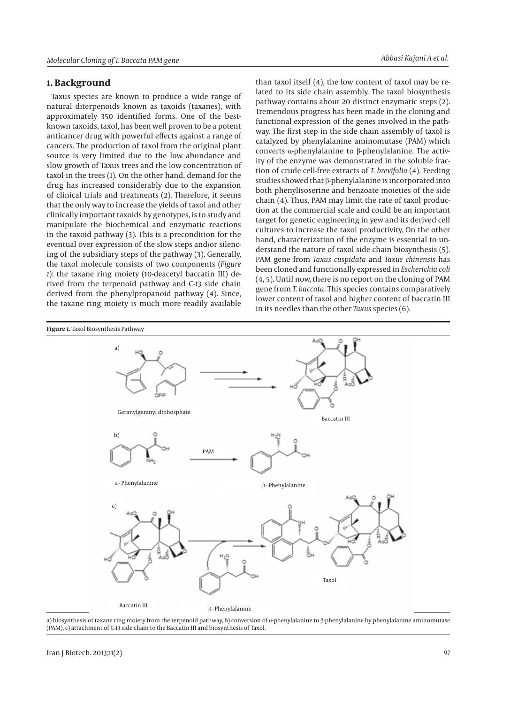#### **1. Background**

Taxus species are known to produce a wide range of natural diterpenoids known as taxoids (taxanes), with approximately 350 identified forms. One of the bestknown taxoids, taxol, has been well proven to be a potent anticancer drug with powerful effects against a range of cancers. The production of taxol from the original plant source is very limited due to the low abundance and slow growth of Taxus trees and the low concentration of taxol in the trees (1). On the other hand, demand for the drug has increased considerably due to the expansion of clinical trials and treatments (2). Therefore, it seems that the only way to increase the yields of taxol and other clinically important taxoids by genotypes, is to study and manipulate the biochemical and enzymatic reactions in the taxoid pathway (3). This is a precondition for the eventual over expression of the slow steps and/or silencing of the subsidiary steps of the pathway (3). Generally, the taxol molecule consists of two components (*Figure 1*): the taxane ring moiety (10-deacetyl baccatin III) derived from the terpenoid pathway and C-13 side chain derived from the phenylpropanoid pathway (4). Since, the taxane ring moiety is much more readily available

than taxol itself (4), the low content of taxol may be related to its side chain assembly. The taxol biosynthesis pathway contains about 20 distinct enzymatic steps (2). Tremendous progress has been made in the cloning and functional expression of the genes involved in the pathway. The first step in the side chain assembly of taxol is catalyzed by phenylalanine aminomutase (PAM) which converts α-phenylalanine to β-phenylalanine. The activity of the enzyme was demonstrated in the soluble fraction of crude cell-free extracts of *T. brevifolia* (4). Feeding studies showed that β-phenylalanine is incorporated into both phenylisoserine and benzoate moieties of the side chain (4). Thus, PAM may limit the rate of taxol production at the commercial scale and could be an important target for genetic engineering in yew and its derived cell cultures to increase the taxol productivity. On the other hand, characterization of the enzyme is essential to understand the nature of taxol side chain biosynthesis (5). PAM gene from *Taxus cuspidata* and *Taxus chinensis* has been cloned and functionally expressed in *Escherichia coli* (4, 5). Until now, there is no report on the cloning of PAM gene from *T. baccata*. This species contains comparatively lower content of taxol and higher content of baccatin III in its needles than the other *Taxus* species (6).



a) biosynthesis of taxane ring moiety from the terpenoid pathway, b) conversion of α-phenylalanine to β-phenylalanine by phenylalanine aminomutase (PAM), c) attachment of C-13 side chain to the Baccatin III and biosynthesis of Taxol.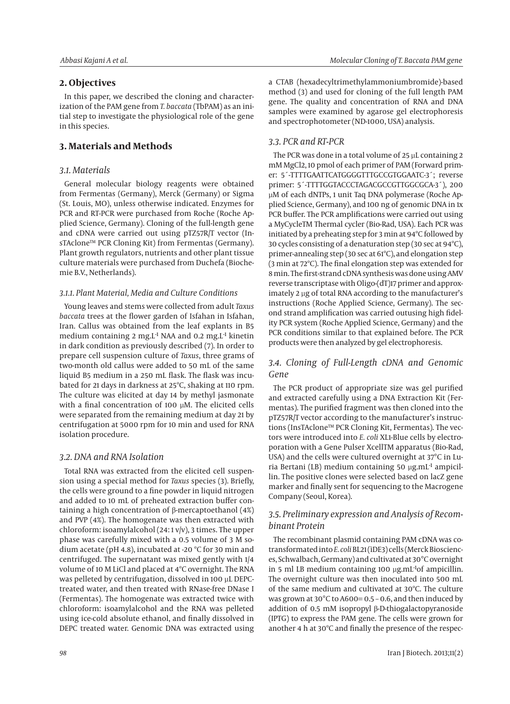## **2. Objectives**

In this paper, we described the cloning and characterization of the PAM gene from *T. baccata* (TbPAM) as an initial step to investigate the physiological role of the gene in this species.

## **3. Materials and Methods**

## *3.1. Materials*

General molecular biology reagents were obtained from Fermentas (Germany), Merck (Germany) or Sigma (St. Louis, MO), unless otherwise indicated. Enzymes for PCR and RT-PCR were purchased from Roche (Roche Applied Science, Germany). Cloning of the full-length gene and cDNA were carried out using pTZ57R/T vector (InsTAclone™ PCR Cloning Kit) from Fermentas (Germany). Plant growth regulators, nutrients and other plant tissue culture materials were purchased from Duchefa (Biochemie B.V., Netherlands).

### *3.1.1. Plant Material, Media and Culture Conditions*

Young leaves and stems were collected from adult *Taxus baccata* trees at the flower garden of Isfahan in Isfahan, Iran. Callus was obtained from the leaf explants in B5 medium containing 2 mg.L<sup>-1</sup> NAA and 0.2 mg.L<sup>-1</sup> kinetin in dark condition as previously described (7). In order to prepare cell suspension culture of *Taxus*, three grams of two-month old callus were added to 50 mL of the same liquid B5 medium in a 250 mL flask. The flask was incubated for 21 days in darkness at 25ºC, shaking at 110 rpm. The culture was elicited at day 14 by methyl jasmonate with a final concentration of 100 μM. The elicited cells were separated from the remaining medium at day 21 by centrifugation at 5000 rpm for 10 min and used for RNA isolation procedure.

### *3.2. DNA and RNA Isolation*

Total RNA was extracted from the elicited cell suspension using a special method for *Taxus* species (3). Briefly, the cells were ground to a fine powder in liquid nitrogen and added to 10 mL of preheated extraction buffer containing a high concentration of β-mercaptoethanol (4%) and PVP (4%). The homogenate was then extracted with chloroform: isoamylalcohol (24: 1 v/v), 3 times. The upper phase was carefully mixed with a 0.5 volume of 3 M sodium acetate (pH 4.8), incubated at -20 ºC for 30 min and centrifuged. The supernatant was mixed gently with 1/4 volume of 10 M LiCl and placed at 4ºC overnight. The RNA was pelleted by centrifugation, dissolved in 100 µL DEPCtreated water, and then treated with RNase-free DNase I (Fermentas). The homogenate was extracted twice with chloroform: isoamylalcohol and the RNA was pelleted using ice-cold absolute ethanol, and finally dissolved in DEPC treated water. Genomic DNA was extracted using

a CTAB (hexadecyltrimethylammoniumbromide)-based method (3) and used for cloning of the full length PAM gene. The quality and concentration of RNA and DNA samples were examined by agarose gel electrophoresis and spectrophotometer (ND-1000, USA) analysis.

## *3.3. PCR and RT-PCR*

The PCR was done in a total volume of 25 µL containing 2 mM MgCl2, 10 pmol of each primer of PAM (Forward primer: 5´-TTTTGAATTCATGGGGTTTGCCGTGGAATC-3´; reverse primer: 5´-TTTTGGTACCCTAGACGCCGTTGGCGCA-3´), 200 µM of each dNTPs, 1 unit Taq DNA polymerase (Roche Applied Science, Germany), and 100 ng of genomic DNA in 1x PCR buffer. The PCR amplifications were carried out using a MyCycleTM Thermal cycler (Bio-Rad, USA). Each PCR was initiated by a preheating step for 3 min at 94ºC followed by 30 cycles consisting of a denaturation step (30 sec at 94ºC), primer-annealing step (30 sec at 61ºC), and elongation step (3 min at 72ºC). The final elongation step was extended for 8 min. The first-strand cDNA synthesis was done using AMV reverse transcriptase with Oligo-(dT)17 primer and approximately 2 µg of total RNA according to the manufacturer's instructions (Roche Applied Science, Germany). The second strand amplification was carried outusing high fidelity PCR system (Roche Applied Science, Germany) and the PCR conditions similar to that explained before. The PCR products were then analyzed by gel electrophoresis.

## *3.4. Cloning of Full-Length cDNA and Genomic Gene*

The PCR product of appropriate size was gel purified and extracted carefully using a DNA Extraction Kit (Fermentas). The purified fragment was then cloned into the pTZ57R/T vector according to the manufacturer's instructions (InsTAclone™ PCR Cloning Kit, Fermentas). The vectors were introduced into *E. coli* XL1-Blue cells by electroporation with a Gene Pulser XcellTM apparatus (Bio-Rad, USA) and the cells were cultured overnight at 37°C in Luria Bertani (LB) medium containing 50 μg.mL-1 ampicillin. The positive clones were selected based on lacZ gene marker and finally sent for sequencing to the Macrogene Company (Seoul, Korea).

## *3.5. Preliminary expression and Analysis of Recombinant Protein*

The recombinant plasmid containing PAM cDNA was cotransformated into *E. coli* BL21 (ìDE3) cells (Merck Biosciences, Schwalbach, Germany) and cultivated at 30°C overnight in 5 ml LB medium containing 100 μg.mL<sup>-1</sup>of ampicillin. The overnight culture was then inoculated into 500 mL of the same medium and cultivated at 30ºC. The culture was grown at 30°C to A600= 0.5 – 0.6, and then induced by addition of 0.5 mM isopropyl β-D-thiogalactopyranoside (IPTG) to express the PAM gene. The cells were grown for another 4 h at 30ºC and finally the presence of the respec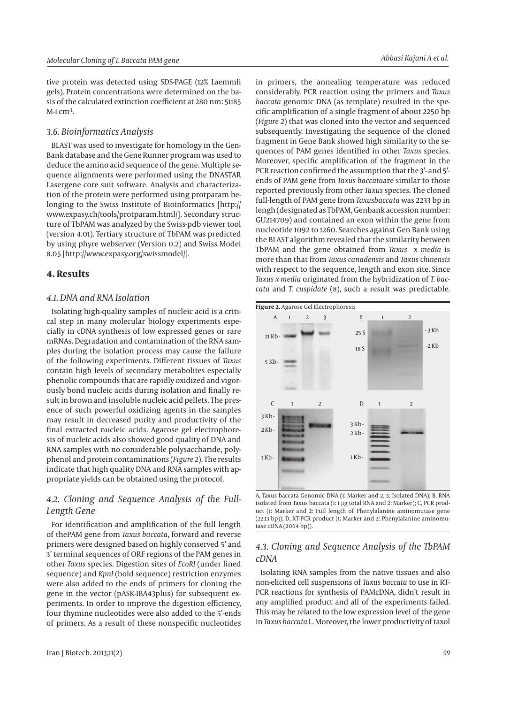tive protein was detected using SDS-PAGE (12% Laemmli gels). Protein concentrations were determined on the basis of the calculated extinction coefficient at 280 nm: 51185  $M<sub>-1</sub>$  cm<sup>-1</sup>.

### *3.6. Bioinformatics Analysis*

BLAST was used to investigate for homology in the Gen-Bank database and the Gene Runner program was used to deduce the amino acid sequence of the gene. Multiple sequence alignments were performed using the DNASTAR Lasergene core suit software. Analysis and characterization of the protein were performed using protparam belonging to the Swiss Institute of Bioinformatics [http:// www.expasy.ch/tools/protparam.html/]. Secondary structure of TbPAM was analyzed by the Swiss-pdb viewer tool (version 4.01). Tertiary structure of TbPAM was predicted by using phyre webserver (Version 0.2) and Swiss Model 8.05 [http://www.expasy.org/swissmodel/].

### **4. Results**

#### *4.1. DNA and RNA Isolation*

Isolating high-quality samples of nucleic acid is a critical step in many molecular biology experiments especially in cDNA synthesis of low expressed genes or rare mRNAs. Degradation and contamination of the RNA samples during the isolation process may cause the failure of the following experiments. Different tissues of *Taxus* contain high levels of secondary metabolites especially phenolic compounds that are rapidly oxidized and vigorously bond nucleic acids during isolation and finally result in brown and insoluble nucleic acid pellets. The presence of such powerful oxidizing agents in the samples may result in decreased purity and productivity of the final extracted nucleic acids. Agarose gel electrophoresis of nucleic acids also showed good quality of DNA and RNA samples with no considerable polysaccharide, polyphenol and protein contaminations (*Figure 2*). The results indicate that high quality DNA and RNA samples with appropriate yields can be obtained using the protocol.

## *4.2. Cloning and Sequence Analysis of the Full-Length Gene*

For identification and amplification of the full length of thePAM gene from *Taxus baccata*, forward and reverse primers were designed based on highly conserved 5' and 3' terminal sequences of ORF regions of the PAM genes in other *Taxus* species. Digestion sites of *EcoRI* (under lined sequence) and *KpnI* (bold sequence) restriction enzymes were also added to the ends of primers for cloning the gene in the vector (pASK-IBA43plus) for subsequent experiments. In order to improve the digestion efficiency, four thymine nucleotides were also added to the 5'-ends of primers. As a result of these nonspecific nucleotides in primers, the annealing temperature was reduced considerably. PCR reaction using the primers and *Taxus baccata* genomic DNA (as template) resulted in the specific amplification of a single fragment of about 2250 bp (*Figure 2*) that was cloned into the vector and sequenced subsequently. Investigating the sequence of the cloned fragment in Gene Bank showed high similarity to the sequences of PAM genes identified in other *Taxus* species. Moreover, specific amplification of the fragment in the PCR reaction confirmed the assumption that the 3'- and 5' ends of PAM gene from *Taxus baccata*are similar to those reported previously from other *Taxus* species. The cloned full-length of PAM gene from *Taxusbaccata* was 2233 bp in lengh (designated as TbPAM, Genbank accession number: GU214709) and contained an exon within the gene from nucleotide 1092 to 1260. Searches against Gen Bank using the BLAST algorithm revealed that the similarity between TbPAM and the gene obtained from *Taxus x media* is more than that from *Taxus canadensis* and *Taxus chinensis* with respect to the sequence, length and exon site. Since *Taxus x media* originated from the hybridization of *T. baccata* and *T. cuspidate* (8), such a result was predictable.



A, Taxus baccata Genomic DNA (1: Marker and 2, 3: Isolated DNA); B, RNA isolated from Taxus baccata (1: 1 µg total RNA and 2: Marker); C, PCR product (1: Marker and 2: Full length of Phenylalanine aminomutase gene (2233 bp)); D, RT-PCR product (1: Marker and 2: Phenylalanine aminomutase cDNA (2064 bp)).

## *4.3. Cloning and Sequence Analysis of the TbPAM cDNA*

Isolating RNA samples from the native tissues and also non-elicited cell suspensions of *Taxus baccata* to use in RT-PCR reactions for synthesis of PAMcDNA, didn't result in any amplified product and all of the experiments failed. This may be related to the low expression level of the gene in *Taxus baccata* L. Moreover, the lower productivity of taxol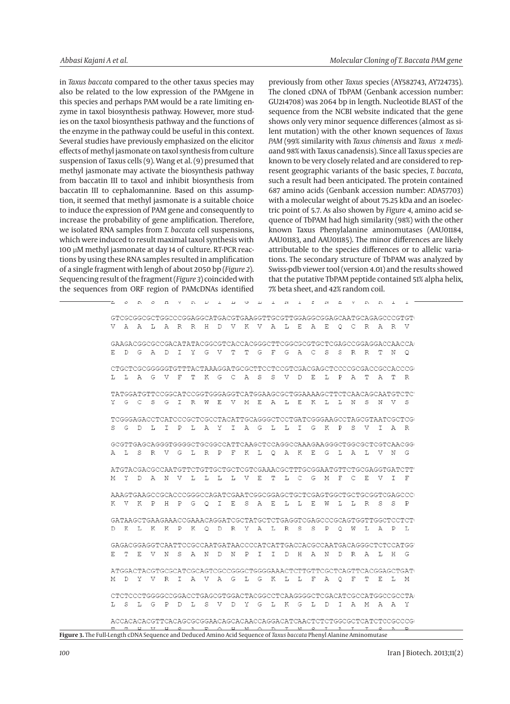in *Taxus baccata* compared to the other taxus species may also be related to the low expression of the PAMgene in this species and perhaps PAM would be a rate limiting enzyme in taxol biosynthesis pathway. However, more studies on the taxol biosynthesis pathway and the functions of the enzyme in the pathway could be useful in this context. Several studies have previously emphasized on the elicitor effects of methyl jasmonate on taxol synthesis from culture suspension of Taxus cells (9). Wang et al. (9) presumed that methyl jasmonate may activate the biosynthesis pathway from baccatin III to taxol and inhibit biosynthesis from baccatin III to cephalomannine. Based on this assumption, it seemed that methyl jasmonate is a suitable choice to induce the expression of PAM gene and consequently to increase the probability of gene amplification. Therefore, we isolated RNA samples from *T. baccata* cell suspensions, which were induced to result maximal taxol synthesis with 100 µM methyl jasmonate at day 14 of culture. RT-PCR reactions by using these RNA samples resulted in amplification of a single fragment with lengh of about 2050 bp (*Figure 2*). Sequencing result of the fragment (*Figure 3*) coincided with the sequences from ORF region of PAMcDNAs identified previously from other *Taxus* species (AY582743, AY724735). The cloned cDNA of TbPAM (Genbank accession number: GU214708) was 2064 bp in length. Nucleotide BLAST of the sequence from the NCBI website indicated that the gene shows only very minor sequence differences (almost as silent mutation) with the other known sequences of *Taxus PAM* (99% similarity with *Taxus chinensis* and *Taxus x media*and 98% with Taxus canadensis). Since all Taxus species are known to be very closely related and are considered to represent geographic variants of the basic species, *T. baccata*, such a result had been anticipated. The protein contained 687 amino acids (Genbank accession number: ADA57703) with a molecular weight of about 75.25 kDa and an isoelectric point of 5.7. As also showen by *Figure 4*, amino acid sequence of TbPAM had high similarity (98%) with the other known Taxus Phenylalanine aminomutases (AAU01184, AAU01183, and AAU01185). The minor differences are likely attributable to the species differences or to allelic variations. The secondary structure of TbPAM was analyzed by Swiss-pdb viewer tool (version 4.01) and the results showed that the putative TbPAM peptide contained 51% alpha helix, 7% beta sheet, and 42% random coil.

|   |  |                                               |  |  |  |  |  |  |  |   |     |     | GTCGCGGCGCTGGCCCCGGAGGCATGACGTGAAGGTTGCGTTGGAGGCGGAGCAATGCAAGCCCCGTGT( |
|---|--|-----------------------------------------------|--|--|--|--|--|--|--|---|-----|-----|------------------------------------------------------------------------|
|   |  | V A A L A R R H D V K V A L E A E O C R A R V |  |  |  |  |  |  |  |   |     |     |                                                                        |
|   |  |                                               |  |  |  |  |  |  |  |   |     |     |                                                                        |
|   |  |                                               |  |  |  |  |  |  |  |   |     |     |                                                                        |
|   |  | E D G A D I Y G V T T G F G A C S S R R T N O |  |  |  |  |  |  |  |   |     |     |                                                                        |
|   |  |                                               |  |  |  |  |  |  |  |   |     |     | CTGCTCGCGGGGGTGTTTACTAAAGGATGCGCTTCCTCCGTCGACGAGCTCCCCCGCGACCGCCACCCG  |
|   |  | L L A G V F T K G C A S S V D E L P A T A T R |  |  |  |  |  |  |  |   |     |     |                                                                        |
|   |  |                                               |  |  |  |  |  |  |  |   |     |     |                                                                        |
|   |  |                                               |  |  |  |  |  |  |  |   |     |     | TATGGATGTTCCGGCATCCGGTGGGAGGTCATGGAAGCGCTGGAAAAGCTTCTCAACAGCAATGTCTCT  |
|   |  | Y G C S G I R W E V M E A L E K L L N S N V S |  |  |  |  |  |  |  |   |     |     |                                                                        |
|   |  |                                               |  |  |  |  |  |  |  |   |     |     | TCGGGAGACCTCATCCCCCTCGCCTACATTGCAGGGCTCCTGATCGGGAAGCCTAGCGTAATCGCTCG   |
|   |  | S G D L I P L A Y I A G L L I G K P S V I A R |  |  |  |  |  |  |  |   |     |     |                                                                        |
|   |  |                                               |  |  |  |  |  |  |  |   |     |     |                                                                        |
|   |  |                                               |  |  |  |  |  |  |  |   |     |     | GCGTTGAGCAGGGTGGGGCTGCGGCCATTCAAGCTCCAGGCCCAAAGAAGGGCTGGCGCTCGTCAACGG  |
|   |  | A L S R V G L R P F K L O A K E G L A L V N G |  |  |  |  |  |  |  |   |     |     |                                                                        |
|   |  |                                               |  |  |  |  |  |  |  |   |     |     | ATGTACGACGCCAATGTTCTGTTGCTGCTCGTCGAAACGCTTTGCGGAATGTTCTGCGAGGTGATCTT'  |
|   |  | M Y D A N V L L L L V E T L C G M F C E V I F |  |  |  |  |  |  |  |   |     |     |                                                                        |
|   |  |                                               |  |  |  |  |  |  |  |   |     |     |                                                                        |
|   |  |                                               |  |  |  |  |  |  |  |   |     |     | AAAGTGAAGCCGCACCCGGGCCAGATCGAATCGGCGGAGCTGCTCGAGTGGCTGCTGCGGTCGAGCCCC  |
|   |  | K V K P H P G O I E S A E L L E W L L R S S P |  |  |  |  |  |  |  |   |     |     |                                                                        |
|   |  |                                               |  |  |  |  |  |  |  |   |     |     |                                                                        |
|   |  | D K L K K P K O D R Y A L R S S P O W L A P L |  |  |  |  |  |  |  |   |     |     | GATAAGCTGAAGAAACCGAAACAGGATCGCTATGCTCTGAGGTCGAGCCCCGCAGTGGTTGCCTCCTCT  |
|   |  |                                               |  |  |  |  |  |  |  |   |     |     |                                                                        |
|   |  |                                               |  |  |  |  |  |  |  |   |     |     | GAGACGGAGGTCAATTCCGCCAATGATAACCCCATCATTGACCACGCCAATGACAGGGCTCTCCATGG'  |
| E |  | T E V N S A N D N P I I D H A N D R A L H G   |  |  |  |  |  |  |  |   |     |     |                                                                        |
|   |  |                                               |  |  |  |  |  |  |  |   |     |     |                                                                        |
|   |  |                                               |  |  |  |  |  |  |  |   |     |     | ATGGACTACGTGCGCATCGCAGTCGCCGGGCTGGGGAAACTCTTGTTCGCTCAGTTCACGGAGCTGAT(  |
|   |  | M D Y V R I A V A G L G K L L F A O F         |  |  |  |  |  |  |  | T | - E | L M |                                                                        |
|   |  |                                               |  |  |  |  |  |  |  |   |     |     | CTCTCCCTGGGGCCGGACCTGAGCGTGGACTACGGCCTCAAGGGGCTCGACATCGCCATGGCCGCCTA   |
|   |  | L S L G P D L S V D Y G L K G L D I A M A A Y |  |  |  |  |  |  |  |   |     |     |                                                                        |
|   |  |                                               |  |  |  |  |  |  |  |   |     |     |                                                                        |
|   |  |                                               |  |  |  |  |  |  |  |   |     |     | ACCACACACGTTCACAGCGCGGAACAGCACAACCAGGACATCAACTCTGTGGCGCTCATCTCCGCCCC   |
|   |  | <u>u vu e a pou montmetat teap</u>            |  |  |  |  |  |  |  |   |     |     |                                                                        |

**Figure 3.** The Full-Length cDNA Sequence and Deduced Amino Acid Sequence of *Taxus baccata* Phenyl Alanine Aminomutase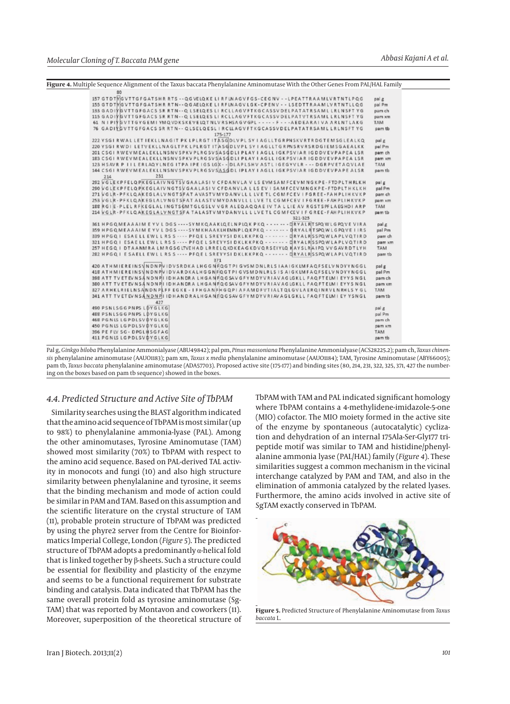

|                            |     | 80 |  |  |  |     |  |  |  |  |         |  |  |  |  |  |  |         |  |  |  |                                                                                                                                         |            |
|----------------------------|-----|----|--|--|--|-----|--|--|--|--|---------|--|--|--|--|--|--|---------|--|--|--|-----------------------------------------------------------------------------------------------------------------------------------------|------------|
|                            |     |    |  |  |  |     |  |  |  |  |         |  |  |  |  |  |  |         |  |  |  | 157 GTDTMGVTTGFGATSHR RTS -- QGVELQKE LIRFLN AGV FGS-CEGNV --LPEATTRAAM LV RTNTLPQG                                                     | palle      |
|                            |     |    |  |  |  |     |  |  |  |  |         |  |  |  |  |  |  |         |  |  |  | 155 GTDTMGVTTGFGATSHRRTN--QGAELQKELIRFLNAGVLGK-CPENV - - LSEDTTRAAM LVRTNTLLQG                                                          | pal Pm     |
|                            |     |    |  |  |  |     |  |  |  |  |         |  |  |  |  |  |  |         |  |  |  | 183 GAD IYG VTTGFGACS SR RTN - - Q LSELQES LI RCLLAGVFTKGCASSV DELPATATRSAM L LRLNSFT YG                                                | pam ch     |
|                            |     |    |  |  |  |     |  |  |  |  |         |  |  |  |  |  |  |         |  |  |  | 115 GADIYGVTTGFGACS SR RTN - - Q LSELQES LI RCLLAGVFTKGCASSVDELPATVTRSAML LRLNSFT YG                                                    | pam xm     |
|                            |     |    |  |  |  |     |  |  |  |  |         |  |  |  |  |  |  |         |  |  |  | 61 N I PIÝG VTTGYGEM I YMQ VDKSKEVELOTNL V RSHSAG V GPL - - - - - F - - - AEDEARA I VA ARLNTLAKG                                        | <b>TAM</b> |
|                            |     |    |  |  |  |     |  |  |  |  |         |  |  |  |  |  |  |         |  |  |  | 76 GADIYGVTTGFGACS SR RTN - - QLSELQESL I RCLLAGVFTKGCASSVDELPATATRSAML LRLNSFT YG                                                      | pam tb     |
|                            |     |    |  |  |  |     |  |  |  |  | 175-177 |  |  |  |  |  |  |         |  |  |  |                                                                                                                                         |            |
|                            |     |    |  |  |  |     |  |  |  |  |         |  |  |  |  |  |  |         |  |  |  | 222 YSGI RWALLET IEKLLNAGIT PK LPLRGT ITASGDLVPL SY I AGLLTGRPNSKVRTRDGTEMSGLEALKQ                                                      |            |
|                            |     |    |  |  |  |     |  |  |  |  |         |  |  |  |  |  |  |         |  |  |  |                                                                                                                                         | pal g      |
|                            |     |    |  |  |  |     |  |  |  |  |         |  |  |  |  |  |  |         |  |  |  | 220 YSGIR WDILET VEKLLNAGLTPKLPLRGT ITASGDLVPL SY I AGLLTGRPNSRVRSRDGIEM SGAEALKK                                                       | pal Pm     |
|                            |     |    |  |  |  |     |  |  |  |  |         |  |  |  |  |  |  |         |  |  |  | 201 CSGI RWEVMEALEKLLNSNVSPKV PLRGSVSASGDLI PLAY I AGLL I GKPSVIAR IGDDVEVPAPEA LSR                                                     | pam ch     |
|                            |     |    |  |  |  |     |  |  |  |  |         |  |  |  |  |  |  |         |  |  |  | 183 CSGI RWEVMEALEKLLNSNVSPKVPLRGSVSASGDLIPLAY I AGLL IGKPSVIAR IGDDVEVPAPEA LSR                                                        | pam xm     |
|                            |     |    |  |  |  |     |  |  |  |  |         |  |  |  |  |  |  |         |  |  |  | 123 HSAVR P IIL ERLAQYLNEG ITPA IPE IGS LGX - - DLAPLSHV ASTL IGEGYVLR - - - DGRPVETAQVLAE                                              | TAM        |
|                            |     |    |  |  |  |     |  |  |  |  |         |  |  |  |  |  |  |         |  |  |  | 144 CSGI RWEVMEALEKLLNSNVSPKVPLRGSVSASGDLIPLAY I AGLLIGKPSVIAR IGDDVEVPAPE ALSR                                                         | pam tb     |
|                            | 214 |    |  |  |  | 231 |  |  |  |  |         |  |  |  |  |  |  |         |  |  |  |                                                                                                                                         |            |
|                            |     |    |  |  |  |     |  |  |  |  |         |  |  |  |  |  |  |         |  |  |  | 292 VGLEKPFELQ PKEGLAIV NGTSV GAALASI V CFDANVLA V LS EVM SAMFCEV MNGKPE - FTDPLT HRLKH                                                 | palg       |
|                            |     |    |  |  |  |     |  |  |  |  |         |  |  |  |  |  |  |         |  |  |  | 290 V G LE K P FEL Q PIKEG LA IV N G T S V G A A LA S IV C F D A N V LA L L S E V I S A M F C E V M N G K P E - F T D P L T H K L K H   | pal Pm     |
|                            |     |    |  |  |  |     |  |  |  |  |         |  |  |  |  |  |  |         |  |  |  | 271 VGLR - PFKLQAKEGLALVNGTSFAT AVASTVMYDANVLL LLVE TL CGM FCEV I FGREE - FAHPLIHKVKP                                                   | pam ch     |
|                            |     |    |  |  |  |     |  |  |  |  |         |  |  |  |  |  |  |         |  |  |  | 253 VGLR · PFKLQAKEGLALVNGTSFAT ALASTVMYDANVLL LLVE TL CG MFCEV I FGREE · FAH PLI HKVKP                                                 | pam xm     |
|                            |     |    |  |  |  |     |  |  |  |  |         |  |  |  |  |  |  |         |  |  |  | 188 RGIE - PLEL RFKEGLAL INGTSGMTGLGSLV VGR ALEQAQQAE IV TA LLIE AV RGSTSPFLAEGHDIARP                                                   | TAM        |
|                            |     |    |  |  |  |     |  |  |  |  |         |  |  |  |  |  |  |         |  |  |  | 214 VGLR - PFKLQAKEGLALVNGTSFA TALASTVMYDANVLL LLVETL CGMFCEV IF GREE - FAHPLIHKVKP                                                     | pam tb     |
|                            |     |    |  |  |  |     |  |  |  |  |         |  |  |  |  |  |  | 321-325 |  |  |  |                                                                                                                                         |            |
|                            |     |    |  |  |  |     |  |  |  |  |         |  |  |  |  |  |  |         |  |  |  | 361 HPGQMEAAAIM EYVL DGS ---- SYMKQAAKLQELNPLQK PKQ ------ - DRYAL RTSPQ WL GPQVE VIRA                                                  | pal g      |
|                            |     |    |  |  |  |     |  |  |  |  |         |  |  |  |  |  |  |         |  |  |  | 359 H P G Q M E A A A I M E Y V L D G S - - - - S Y M K H A A K LH EMN P L Q K P K Q - - - - - - - - DR Y A L RT SPQ W L G PQ V E I IRS | pal Pm     |
|                            |     |    |  |  |  |     |  |  |  |  |         |  |  |  |  |  |  |         |  |  |  | 339 H P G O I ESA E LL EW L L R S S ···· P F O E L SREYYSI D KLKKPKO ········ DRYALRISSPOWLAPLVOTIRD                                    | pam ch     |
|                            |     |    |  |  |  |     |  |  |  |  |         |  |  |  |  |  |  |         |  |  |  | 321 HPGQ I ESAE LL EWL L RS S  PFQE L SREYYSI DKLKKPKQ - - - - - - - DRYALRSSPQWLAPLVQTIRD                                              | pam xm     |
|                            |     |    |  |  |  |     |  |  |  |  |         |  |  |  |  |  |  |         |  |  |  | 257 HEGQ I DTAANMRA LMRGSGLTVEHAD LRRELQKDKEAGKDVORSEIYLQ WAYSLRAIPQ VVGAVRDTLYH                                                        | TAM        |
|                            |     |    |  |  |  |     |  |  |  |  |         |  |  |  |  |  |  |         |  |  |  | 282 HPGQ I ESAELL EWL LRS S ---- PFQE LSREYYSI DKLKKPKQ - - - - - - - - DRYALRSSPQ WLAPLVQTIRD                                          | pam tb     |
|                            |     |    |  |  |  |     |  |  |  |  | 371     |  |  |  |  |  |  |         |  |  |  |                                                                                                                                         |            |
|                            |     |    |  |  |  |     |  |  |  |  |         |  |  |  |  |  |  |         |  |  |  | 420 ATHMIEREINS\NDNPVIDVSRDKALHGGNFQGTPIGVSMDNLRLSIAAIGKLMFAQFSELVNDYYNGGL                                                              | palg       |
|                            |     |    |  |  |  |     |  |  |  |  |         |  |  |  |  |  |  |         |  |  |  | 418 ATH MIEREINS VN DN PV I DV AR DKALH GG NFOGT PI GVS MONLRLS IS AIGKLMFAQFSELV N DYYNGGL                                             | pal Pm     |
|                            |     |    |  |  |  |     |  |  |  |  |         |  |  |  |  |  |  |         |  |  |  | 398 ATT TV ETEV N SANDNPII I DHANDRA LHGANFO G SAV G FYMDYVRIAVAG LGKLL FAO FTELM I EYYS NG L                                           | pam ch     |
|                            |     |    |  |  |  |     |  |  |  |  |         |  |  |  |  |  |  |         |  |  |  | 380 ATT TV ETEVNSÅNDNPILIDHANDRA LHGANFIQ GSAV GFYMDYVRIAVAG LGKLL FAQ FTELM I EYYS NG L                                                | pam xm     |
|                            |     |    |  |  |  |     |  |  |  |  |         |  |  |  |  |  |  |         |  |  |  | 327 ARHKLRIELNSANDNPLFF EGKE - I FHGANFH GQP I AFAMDFVT I ALTQL GVLAERQ INRVLNRHLS Y GL                                                 | <b>TAM</b> |
|                            |     |    |  |  |  |     |  |  |  |  |         |  |  |  |  |  |  |         |  |  |  | 341 ATT TV ETEV NSÅ NDNPILIDHANDRALHGANFOGSAV GFY MDYVRIAV AGLGKLL FAOFTELM I EY YSNGL                                                  | pamtb      |
|                            |     |    |  |  |  | 427 |  |  |  |  |         |  |  |  |  |  |  |         |  |  |  |                                                                                                                                         |            |
| 490 PSNLSGGPNPS LDYGLKG    |     |    |  |  |  |     |  |  |  |  |         |  |  |  |  |  |  |         |  |  |  |                                                                                                                                         | pal g      |
| 488 PSNLSGGPNPS LDYGLKG    |     |    |  |  |  |     |  |  |  |  |         |  |  |  |  |  |  |         |  |  |  |                                                                                                                                         | pal Pm     |
| 468 PGNLS LGPDLSV DYGLKG   |     |    |  |  |  |     |  |  |  |  |         |  |  |  |  |  |  |         |  |  |  |                                                                                                                                         | pam ch     |
| 450 PGNLSLGPDLSVDYGLKG     |     |    |  |  |  |     |  |  |  |  |         |  |  |  |  |  |  |         |  |  |  |                                                                                                                                         | pam xm     |
| 396 PE FLV SG - DPGLHSGFAG |     |    |  |  |  |     |  |  |  |  |         |  |  |  |  |  |  |         |  |  |  |                                                                                                                                         | TAM        |
|                            |     |    |  |  |  |     |  |  |  |  |         |  |  |  |  |  |  |         |  |  |  |                                                                                                                                         |            |
| 411 PGNIS LGPDLSVDYGLKG    |     |    |  |  |  |     |  |  |  |  |         |  |  |  |  |  |  |         |  |  |  |                                                                                                                                         | pam tb     |

Pal g, *Ginkgo biloba* Phenylalanine Ammonialyase (ABU49842); pal pm, *Pinus massoniana* Phenylalanine Ammonialyase (ACS28225.2); pam ch, *Taxus chinensis* phenylalanine aminomutase (AAUO1183); pam xm, *Taxus x media* phenylalanine aminomutase (AAUO1184); TAM, Tyrosine Aminomutase (ABY66005); pam tb, *Taxus baccata* phenylalanine aminomutase (ADA57703). Proposed active site (175-177) and binding sites (80, 214, 231, 322, 325, 371, 427 the numbering on the boxes based on pam tb sequence) showed in the boxes.

#### *4.4. Predicted Structure and Active Site of TbPAM*

Similarity searches using the BLAST algorithm indicated that the amino acid sequence of TbPAM is most similar (up to 98%) to phenylalanine ammonia-lyase (PAL). Among the other aminomutases, Tyrosine Aminomutase (TAM) showed most similarity (70%) to TbPAM with respect to the amino acid sequence. Based on PAL-derived TAL activity in monocots and fungi (10) and also high structure similarity between phenylalanine and tyrosine, it seems that the binding mechanism and mode of action could be similar in PAM and TAM. Based on this assumption and the scientific literature on the crystal structure of TAM (11), probable protein structure of TbPAM was predicted by using the phyre2 server from the Centre for Bioinformatics Imperial College, London (*Figure 5*). The predicted structure of TbPAM adopts a predominantly α-helical fold that is linked together by β-sheets. Such a structure could be essential for flexibility and plasticity of the enzyme and seems to be a functional requirement for substrate binding and catalysis. Data indicated that TbPAM has the same overall protein fold as tyrosine aminomutase (Sg-TAM) that was reported by Montavon and coworkers (11). Moreover, superposition of the theoretical structure of TbPAM with TAM and PAL indicated significant homology where TbPAM contains a 4-methylidene-imidazole-5-one (MIO) cofactor. The MIO moiety formed in the active site of the enzyme by spontaneous (autocatalytic) cyclization and dehydration of an internal 175Ala-Ser-Gly177 tripeptide motif was similar to TAM and histidine/phenylalanine ammonia lyase (PAL/HAL) family (*Figure 4*). These similarities suggest a common mechanism in the vicinal interchange catalyzed by PAM and TAM, and also in the elimination of ammonia catalyzed by the related lyases. Furthermore, the amino acids involved in active site of SgTAM exactly conserved in TbPAM.



**Figure 5.** Predicted Structure of Phenylalanine Aminomutase from *Taxus baccata* L.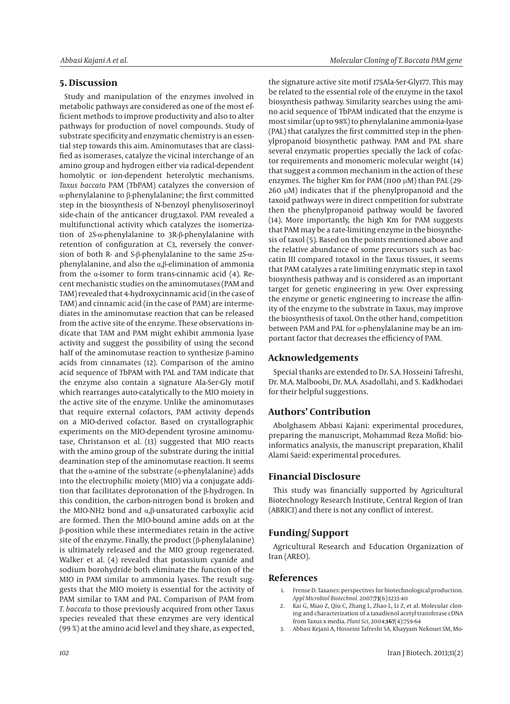## **5. Discussion**

Study and manipulation of the enzymes involved in metabolic pathways are considered as one of the most efficient methods to improve productivity and also to alter pathways for production of novel compounds. Study of substrate specificity and enzymatic chemistry is an essential step towards this aim. Aminomutases that are classified as isomerases, catalyze the vicinal interchange of an amino group and hydrogen either via radical-dependent homolytic or ion-dependent heterolytic mechanisms. *Taxus baccata* PAM (TbPAM) catalyzes the conversion of α-phenylalanine to β-phenylalanine; the first committed step in the biosynthesis of N-benzoyl phenylisoserinoyl side-chain of the anticancer drug,taxol. PAM revealed a multifunctional activity which catalyzes the isomerization of 2S-α-phenylalanine to 3R-β-phenylalanine with retention of configuration at C3, reversely the conversion of both R- and S-β-phenylalanine to the same 2S-αphenylalanine, and also the α,β-elimination of ammonia from the  $\alpha$ -isomer to form trans-cinnamic acid (4). Recent mechanistic studies on the aminomutases (PAM and TAM) revealed that 4-hydroxycinnamic acid (in the case of TAM) and cinnamic acid (in the case of PAM) are intermediates in the aminomutase reaction that can be released from the active site of the enzyme. These observations indicate that TAM and PAM might exhibit ammonia lyase activity and suggest the possibility of using the second half of the aminomutase reaction to synthesize β-amino acids from cinnamates (12). Comparison of the amino acid sequence of TbPAM with PAL and TAM indicate that the enzyme also contain a signature Ala-Ser-Gly motif which rearranges auto-catalytically to the MIO moiety in the active site of the enzyme. Unlike the aminomutases that require external cofactors, PAM activity depends on a MIO-derived cofactor. Based on crystallographic experiments on the MIO-dependent tyrosine aminomutase, Christanson et al. (13) suggested that MIO reacts with the amino group of the substrate during the initial deamination step of the aminomutase reaction. It seems that the α-amine of the substrate (α-phenylalanine) adds into the electrophilic moiety (MIO) via a conjugate addition that facilitates deprotonation of the β-hydrogen. In this condition, the carbon-nitrogen bond is broken and the MIO-NH2 bond and α,β-unsaturated carboxylic acid are formed. Then the MIO-bound amine adds on at the β-position while these intermediates retain in the active site of the enzyme. Finally, the product ( $\beta$ -phenylalanine) is ultimately released and the MIO group regenerated. Walker et al. (4) revealed that potassium cyanide and sodium borohydride both eliminate the function of the MIO in PAM similar to ammonia lyases. The result suggests that the MIO moiety is essential for the activity of PAM similar to TAM and PAL. Comparison of PAM from *T. baccata* to those previously acquired from other Taxus species revealed that these enzymes are very identical (99 %) at the amino acid level and they share, as expected, the signature active site motif 175Ala-Ser-Gly177. This may be related to the essential role of the enzyme in the taxol biosynthesis pathway. Similarity searches using the amino acid sequence of TbPAM indicated that the enzyme is most similar (up to 98%) to phenylalanine ammonia-lyase (PAL) that catalyzes the first committed step in the phenylpropanoid biosynthetic pathway. PAM and PAL share several enzymatic properties specially the lack of cofactor requirements and monomeric molecular weight (14) that suggest a common mechanism in the action of these enzymes. The higher Km for PAM (1100 µM) than PAL (29- 260 µM) indicates that if the phenylpropanoid and the taxoid pathways were in direct competition for substrate then the phenylpropanoid pathway would be favored (14). More importantly, the high Km for PAM suggests that PAM may be a rate-limiting enzyme in the biosynthesis of taxol (5). Based on the points mentioned above and the relative abundance of some precursors such as baccatin III compared totaxol in the Taxus tissues, it seems that PAM catalyzes a rate limiting enzymatic step in taxol biosynthesis pathway and is considered as an important target for genetic engineering in yew. Over expressing the enzyme or genetic engineering to increase the affinity of the enzyme to the substrate in Taxus, may improve the biosynthesis of taxol. On the other hand, competition between PAM and PAL for α-phenylalanine may be an important factor that decreases the efficiency of PAM.

# **Acknowledgements**

Special thanks are extended to Dr. S.A. Hosseini Tafreshi, Dr. M.A. Malboobi, Dr. M.A. Asadollahi, and S. Kadkhodaei for their helpful suggestions.

## **Authors' Contribution**

Abolghasem Abbasi Kajani: experimental procedures, preparing the manuscript, Mohammad Reza Mofid: bioinformatics analysis, the manuscript preparation, Khalil Alami Saeid: experimental procedures.

# **Financial Disclosure**

This study was financially supported by Agricultural Biotechnology Research Institute, Central Region of Iran (ABRICI) and there is not any conflict of interest.

# **Funding/ Support**

Agricultural Research and Education Organization of Iran (AREO).

### **References**

- 1. Frense D. Taxanes: perspectives for biotechnological production. *Appl Microbiol Biotechnol.* 2007;**73**(6):1233-40
- 2. Kai G, Miao Z, Qiu C, Zhang L, Zhao L, Li Z, et al. Molecular cloning and characterization of a taxadienol acetyl transferase cDNA from Taxus x media. *Plant Sci.* 2004;**167**(4):759-64
- 3. Abbasi Kejani A, Hosseini Tafreshi SA, Khayyam Nekouei SM, Mo-